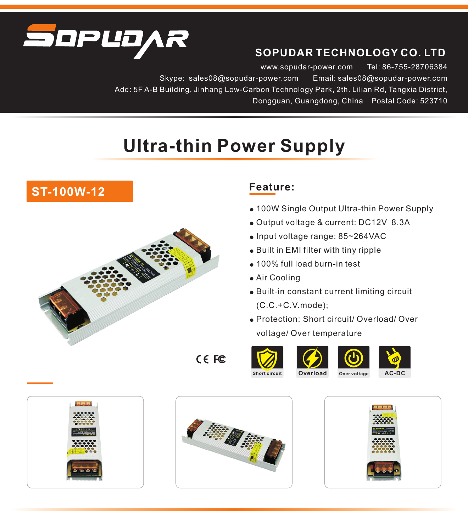

## **SOPUDAR TECHNOLOGY CO. LTD**

www.sopudar-power.com Skype: sales08@sopudar-power.com Email: sales08@sopudar-power.com Add: 5F A-B Building, Jinhang Low-Carbon Technology Park, 2th. Lilian Rd, Tangxia District, Dongguan, Guangdong, China Postal Code: 523710 Tel: 86-755-28706384

## **Ultra-thin Power Supply**



## **Feature:**

- 100W Single Output Ultra-thin Power Supply
- Output voltage & current: DC12V 8.3A
- Input voltage range: 85~264VAC
- Built in EMI filter with tiny ripple
- 100% full load burn-in test
- Air Cooling
- Built-in constant current limiting circuit (C.C.+C.V.mode);
- Protection: Short circuit/ Overload/ Over voltage/ Over temperature